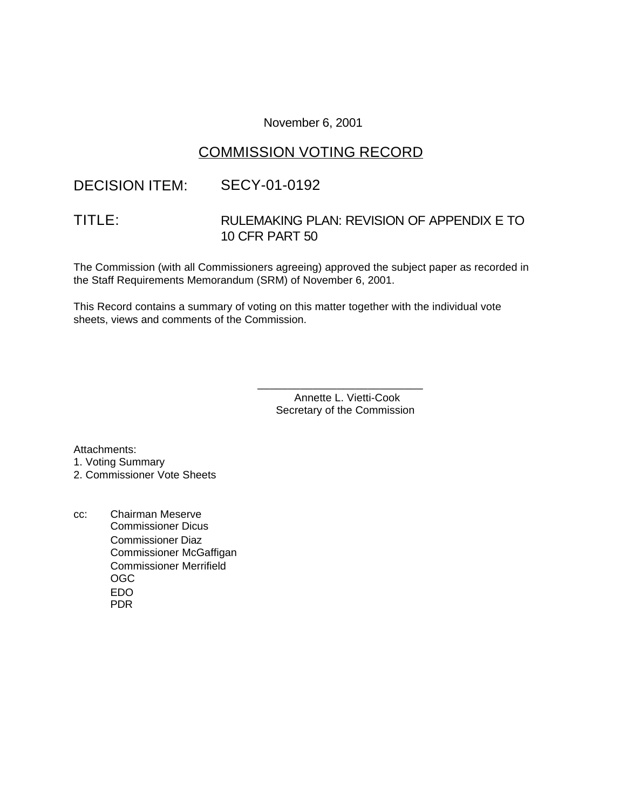### November 6, 2001

# COMMISSION VOTING RECORD

# DECISION ITEM: SECY-01-0192

# TITLE: RULEMAKING PLAN: REVISION OF APPENDIX E TO 10 CFR PART 50

The Commission (with all Commissioners agreeing) approved the subject paper as recorded in the Staff Requirements Memorandum (SRM) of November 6, 2001.

This Record contains a summary of voting on this matter together with the individual vote sheets, views and comments of the Commission.

> Annette L. Vietti-Cook Secretary of the Commission

\_\_\_\_\_\_\_\_\_\_\_\_\_\_\_\_\_\_\_\_\_\_\_\_\_\_\_

Attachments:

1. Voting Summary

2. Commissioner Vote Sheets

cc: Chairman Meserve Commissioner Dicus Commissioner Diaz Commissioner McGaffigan Commissioner Merrifield OGC EDO PDR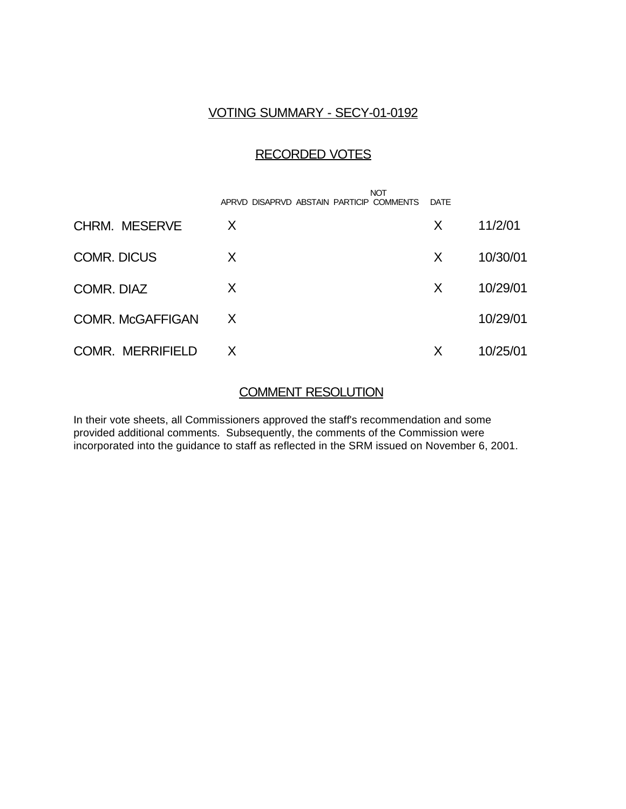### VOTING SUMMARY - SECY-01-0192

# RECORDED VOTES

|                         | <b>NOT</b><br>APRVD DISAPRVD ABSTAIN PARTICIP COMMENTS | <b>DATE</b> |          |
|-------------------------|--------------------------------------------------------|-------------|----------|
| <b>CHRM. MESERVE</b>    | X                                                      | X           | 11/2/01  |
| <b>COMR. DICUS</b>      | X                                                      | X           | 10/30/01 |
| COMR. DIAZ              | X                                                      | X           | 10/29/01 |
| <b>COMR. McGAFFIGAN</b> | X                                                      |             | 10/29/01 |
| <b>COMR. MERRIFIELD</b> | X                                                      | Х           | 10/25/01 |

### COMMENT RESOLUTION

In their vote sheets, all Commissioners approved the staff's recommendation and some provided additional comments. Subsequently, the comments of the Commission were incorporated into the guidance to staff as reflected in the SRM issued on November 6, 2001.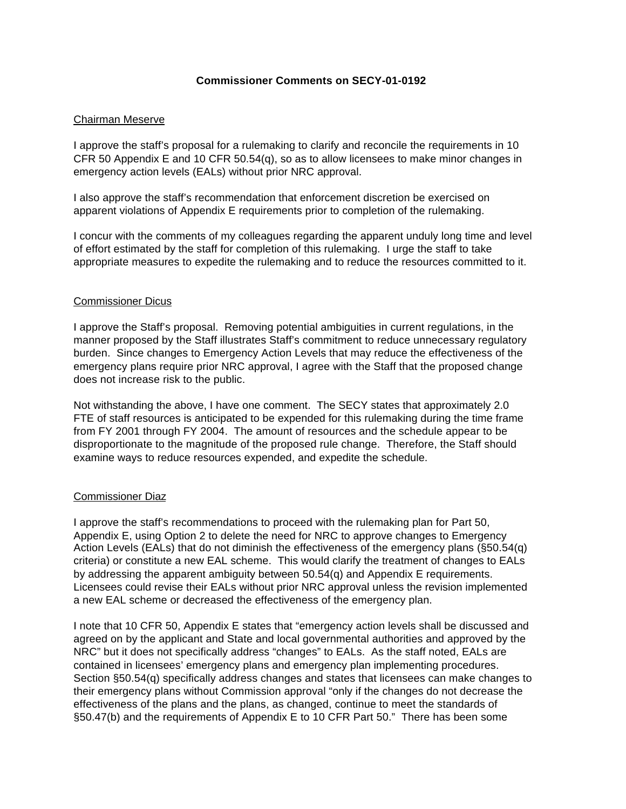### **Commissioner Comments on SECY-01-0192**

#### Chairman Meserve

I approve the staff's proposal for a rulemaking to clarify and reconcile the requirements in 10 CFR 50 Appendix E and 10 CFR 50.54(q), so as to allow licensees to make minor changes in emergency action levels (EALs) without prior NRC approval.

I also approve the staff's recommendation that enforcement discretion be exercised on apparent violations of Appendix E requirements prior to completion of the rulemaking.

I concur with the comments of my colleagues regarding the apparent unduly long time and level of effort estimated by the staff for completion of this rulemaking. I urge the staff to take appropriate measures to expedite the rulemaking and to reduce the resources committed to it.

#### Commissioner Dicus

I approve the Staff's proposal. Removing potential ambiguities in current regulations, in the manner proposed by the Staff illustrates Staff's commitment to reduce unnecessary regulatory burden. Since changes to Emergency Action Levels that may reduce the effectiveness of the emergency plans require prior NRC approval, I agree with the Staff that the proposed change does not increase risk to the public.

Not withstanding the above, I have one comment. The SECY states that approximately 2.0 FTE of staff resources is anticipated to be expended for this rulemaking during the time frame from FY 2001 through FY 2004. The amount of resources and the schedule appear to be disproportionate to the magnitude of the proposed rule change. Therefore, the Staff should examine ways to reduce resources expended, and expedite the schedule.

#### Commissioner Diaz

I approve the staff's recommendations to proceed with the rulemaking plan for Part 50, Appendix E, using Option 2 to delete the need for NRC to approve changes to Emergency Action Levels (EALs) that do not diminish the effectiveness of the emergency plans (§50.54(q) criteria) or constitute a new EAL scheme. This would clarify the treatment of changes to EALs by addressing the apparent ambiguity between 50.54(q) and Appendix E requirements. Licensees could revise their EALs without prior NRC approval unless the revision implemented a new EAL scheme or decreased the effectiveness of the emergency plan.

I note that 10 CFR 50, Appendix E states that "emergency action levels shall be discussed and agreed on by the applicant and State and local governmental authorities and approved by the NRC" but it does not specifically address "changes" to EALs. As the staff noted, EALs are contained in licensees' emergency plans and emergency plan implementing procedures. Section §50.54(q) specifically address changes and states that licensees can make changes to their emergency plans without Commission approval "only if the changes do not decrease the effectiveness of the plans and the plans, as changed, continue to meet the standards of §50.47(b) and the requirements of Appendix E to 10 CFR Part 50." There has been some